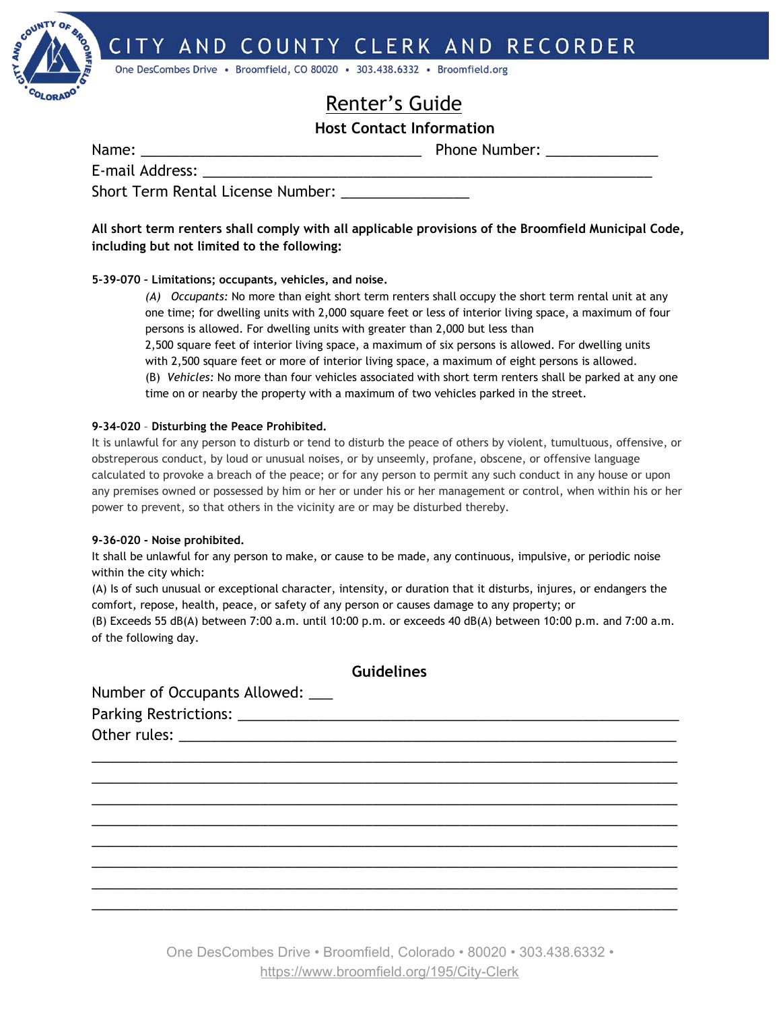CITY AND COUNTY CLERK AND RECORDER



One DesCombes Drive · Broomfield, CO 80020 · 303.438.6332 · Broomfield.org

# Renter's Guide

## **Host Contact Information**

Name: \_\_\_\_\_\_\_\_\_\_\_\_\_\_\_\_\_\_\_\_\_\_\_\_\_\_\_\_\_\_\_\_\_\_\_ Phone Number: \_\_\_\_\_\_\_\_\_\_\_\_\_\_

E-mail Address:

Short Term Rental License Number:

**All short term renters shall comply with all applicable provisions of the Broomfield Municipal Code, including but not limited to the following:**

### **5-39-070 – Limitations; occupants, vehicles, and noise.**

*(A) Occupants:* No more than eight short term renters shall occupy the short term rental unit at any one time; for dwelling units with 2,000 square feet or less of interior living space, a maximum of four persons is allowed. For dwelling units with greater than 2,000 but less than

2,500 square feet of interior living space, a maximum of six persons is allowed. For dwelling units with 2,500 square feet or more of interior living space, a maximum of eight persons is allowed. (B) *Vehicles:* No more than four vehicles associated with short term renters shall be parked at any one time on or nearby the property with a maximum of two vehicles parked in the street.

#### **9-34-020** – **Disturbing the Peace Prohibited.**

It is unlawful for any person to disturb or tend to disturb the peace of others by violent, tumultuous, offensive, or obstreperous conduct, by loud or unusual noises, or by unseemly, profane, obscene, or offensive language calculated to provoke a breach of the peace; or for any person to permit any such conduct in any house or upon any premises owned or possessed by him or her or under his or her management or control, when within his or her power to prevent, so that others in the vicinity are or may be disturbed thereby.

### **9-36-020 - Noise prohibited.**

It shall be unlawful for any person to make, or cause to be made, any continuous, impulsive, or periodic noise within the city which:

(A) Is of such unusual or exceptional character, intensity, or duration that it disturbs, injures, or endangers the comfort, repose, health, peace, or safety of any person or causes damage to any property; or

(B) Exceeds 55 dB(A) between 7:00 a.m. until 10:00 p.m. or exceeds 40 dB(A) between 10:00 p.m. and 7:00 a.m. of the following day.

| Guidelines                       |  |  |
|----------------------------------|--|--|
| Number of Occupants Allowed: ___ |  |  |
|                                  |  |  |
|                                  |  |  |
|                                  |  |  |
|                                  |  |  |
|                                  |  |  |
|                                  |  |  |
|                                  |  |  |
|                                  |  |  |
|                                  |  |  |
|                                  |  |  |
|                                  |  |  |

One DesCombes Drive • Broomfield, Colorado • 80020 • 303.438.6332 • <https://www.broomfield.org/195/City-Clerk>